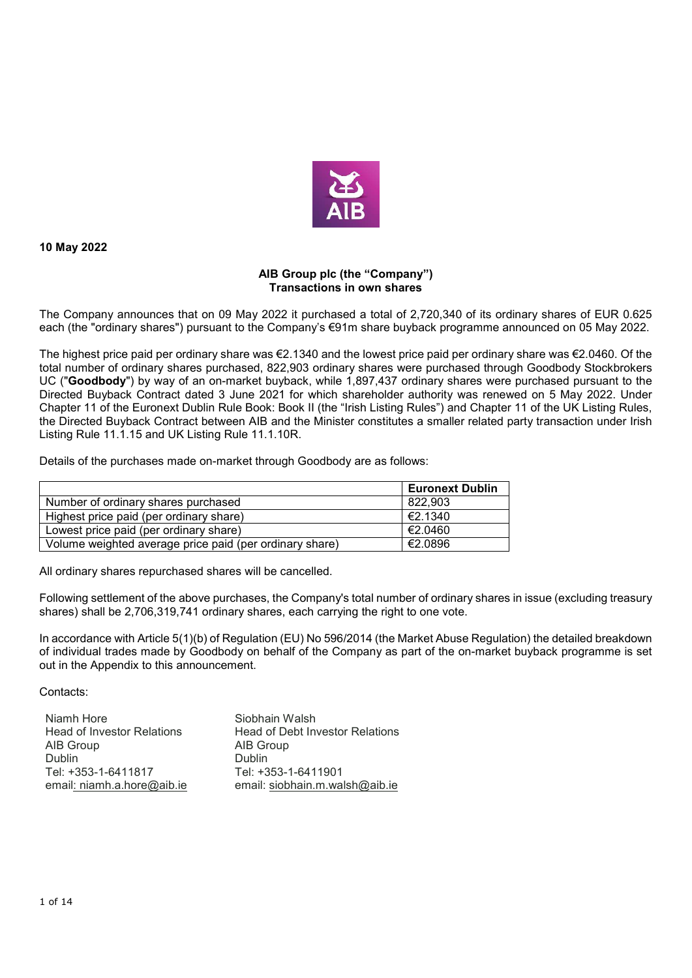

**10 May 2022** 

## **AIB Group plc (the "Company") Transactions in own shares**

The Company announces that on 09 May 2022 it purchased a total of 2,720,340 of its ordinary shares of EUR 0.625 each (the "ordinary shares") pursuant to the Company's €91m share buyback programme announced on 05 May 2022.

The highest price paid per ordinary share was €2.1340 and the lowest price paid per ordinary share was €2.0460. Of the total number of ordinary shares purchased, 822,903 ordinary shares were purchased through Goodbody Stockbrokers UC ("**Goodbody**") by way of an on-market buyback, while 1,897,437 ordinary shares were purchased pursuant to the Directed Buyback Contract dated 3 June 2021 for which shareholder authority was renewed on 5 May 2022. Under Chapter 11 of the Euronext Dublin Rule Book: Book II (the "Irish Listing Rules") and Chapter 11 of the UK Listing Rules, the Directed Buyback Contract between AIB and the Minister constitutes a smaller related party transaction under Irish Listing Rule 11.1.15 and UK Listing Rule 11.1.10R.

Details of the purchases made on-market through Goodbody are as follows:

|                                                         | <b>Euronext Dublin</b> |
|---------------------------------------------------------|------------------------|
| Number of ordinary shares purchased                     | 822.903                |
| Highest price paid (per ordinary share)                 | $\in$ 2.1340           |
| Lowest price paid (per ordinary share)                  | €2.0460                |
| Volume weighted average price paid (per ordinary share) | €2.0896                |

All ordinary shares repurchased shares will be cancelled.

Following settlement of the above purchases, the Company's total number of ordinary shares in issue (excluding treasury shares) shall be 2,706,319,741 ordinary shares, each carrying the right to one vote.

In accordance with Article 5(1)(b) of Regulation (EU) No 596/2014 (the Market Abuse Regulation) the detailed breakdown of individual trades made by Goodbody on behalf of the Company as part of the on-market buyback programme is set out in the Appendix to this announcement.

Contacts:

| Niamh Hore                        | Siobhain Walsh                  |
|-----------------------------------|---------------------------------|
| <b>Head of Investor Relations</b> | Head of Debt Investor Relations |
| AIB Group                         | AIB Group                       |
| <b>Dublin</b>                     | <b>Dublin</b>                   |
| Tel: +353-1-6411817               | Tel: +353-1-6411901             |
| email: niamh.a.hore@aib.ie        | email: siobhain.m.walsh@aib.ie  |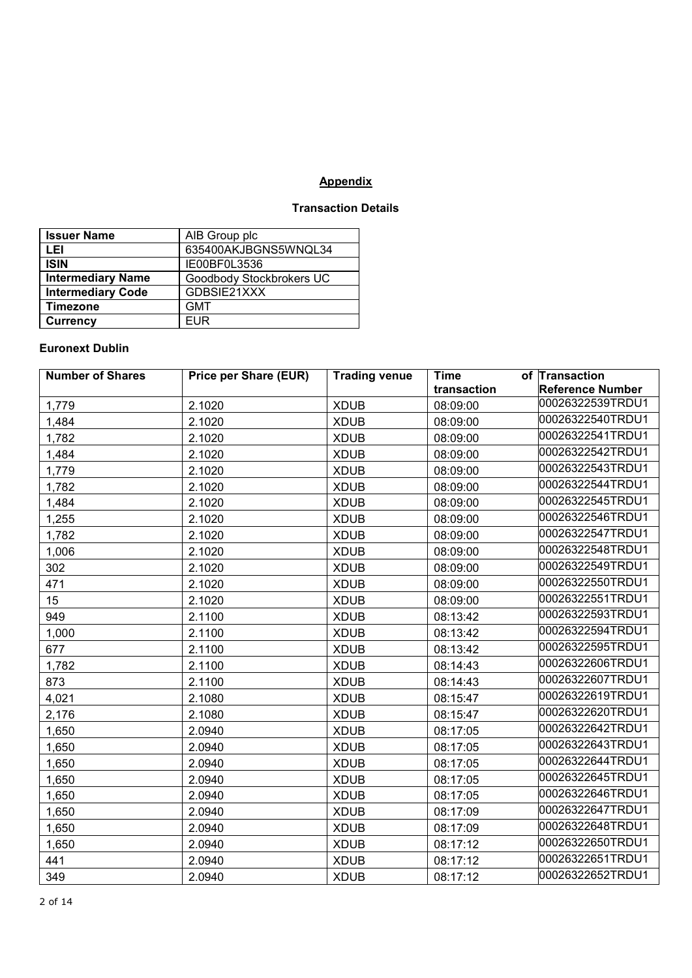## **Appendix**

## **Transaction Details**

| <b>Issuer Name</b>       | AIB Group plc            |
|--------------------------|--------------------------|
| LEI                      | 635400AKJBGNS5WNQL34     |
| <b>ISIN</b>              | IE00BF0L3536             |
| <b>Intermediary Name</b> | Goodbody Stockbrokers UC |
| <b>Intermediary Code</b> | GDBSIE21XXX              |
| <b>Timezone</b>          | <b>GMT</b>               |
| <b>Currency</b>          | <b>EUR</b>               |

## **Euronext Dublin**

| <b>Number of Shares</b> | <b>Price per Share (EUR)</b> | <b>Trading venue</b> | <b>Time</b> | of Transaction          |
|-------------------------|------------------------------|----------------------|-------------|-------------------------|
|                         |                              |                      | transaction | <b>Reference Number</b> |
| 1,779                   | 2.1020                       | <b>XDUB</b>          | 08:09:00    | 00026322539TRDU1        |
| 1,484                   | 2.1020                       | <b>XDUB</b>          | 08:09:00    | 00026322540TRDU1        |
| 1,782                   | 2.1020                       | <b>XDUB</b>          | 08:09:00    | 00026322541TRDU1        |
| 1,484                   | 2.1020                       | <b>XDUB</b>          | 08:09:00    | 00026322542TRDU1        |
| 1,779                   | 2.1020                       | <b>XDUB</b>          | 08:09:00    | 00026322543TRDU1        |
| 1,782                   | 2.1020                       | <b>XDUB</b>          | 08:09:00    | 00026322544TRDU1        |
| 1,484                   | 2.1020                       | <b>XDUB</b>          | 08:09:00    | 00026322545TRDU1        |
| 1,255                   | 2.1020                       | <b>XDUB</b>          | 08:09:00    | 00026322546TRDU1        |
| 1,782                   | 2.1020                       | <b>XDUB</b>          | 08:09:00    | 00026322547TRDU1        |
| 1,006                   | 2.1020                       | <b>XDUB</b>          | 08:09:00    | 00026322548TRDU1        |
| 302                     | 2.1020                       | <b>XDUB</b>          | 08:09:00    | 00026322549TRDU1        |
| 471                     | 2.1020                       | <b>XDUB</b>          | 08:09:00    | 00026322550TRDU1        |
| 15                      | 2.1020                       | <b>XDUB</b>          | 08:09:00    | 00026322551TRDU1        |
| 949                     | 2.1100                       | <b>XDUB</b>          | 08:13:42    | 00026322593TRDU1        |
| 1,000                   | 2.1100                       | <b>XDUB</b>          | 08:13:42    | 00026322594TRDU1        |
| 677                     | 2.1100                       | <b>XDUB</b>          | 08:13:42    | 00026322595TRDU1        |
| 1,782                   | 2.1100                       | <b>XDUB</b>          | 08:14:43    | 00026322606TRDU1        |
| 873                     | 2.1100                       | <b>XDUB</b>          | 08:14:43    | 00026322607TRDU1        |
| 4,021                   | 2.1080                       | <b>XDUB</b>          | 08:15:47    | 00026322619TRDU1        |
| 2,176                   | 2.1080                       | <b>XDUB</b>          | 08:15:47    | 00026322620TRDU1        |
| 1,650                   | 2.0940                       | <b>XDUB</b>          | 08:17:05    | 00026322642TRDU1        |
| 1,650                   | 2.0940                       | <b>XDUB</b>          | 08:17:05    | 00026322643TRDU1        |
| 1,650                   | 2.0940                       | <b>XDUB</b>          | 08:17:05    | 00026322644TRDU1        |
| 1,650                   | 2.0940                       | <b>XDUB</b>          | 08:17:05    | 00026322645TRDU1        |
| 1,650                   | 2.0940                       | <b>XDUB</b>          | 08:17:05    | 00026322646TRDU1        |
| 1,650                   | 2.0940                       | <b>XDUB</b>          | 08:17:09    | 00026322647TRDU1        |
| 1,650                   | 2.0940                       | <b>XDUB</b>          | 08:17:09    | 00026322648TRDU1        |
| 1,650                   | 2.0940                       | <b>XDUB</b>          | 08:17:12    | 00026322650TRDU1        |
| 441                     | 2.0940                       | <b>XDUB</b>          | 08:17:12    | 00026322651TRDU1        |
| 349                     | 2.0940                       | <b>XDUB</b>          | 08:17:12    | 00026322652TRDU1        |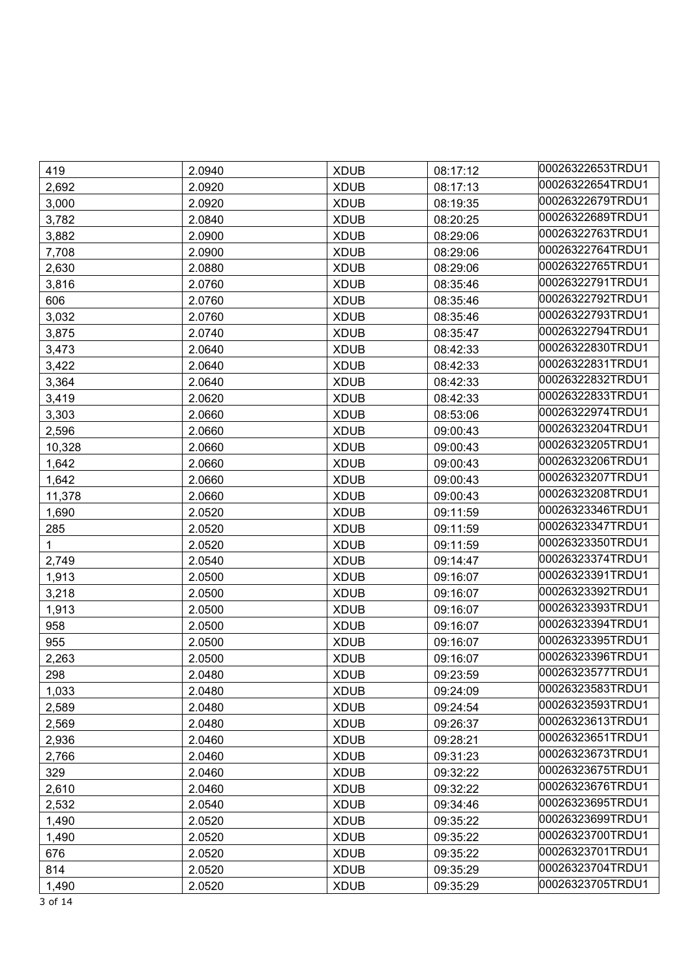| 419    | 2.0940 | <b>XDUB</b> | 08:17:12 | 00026322653TRDU1 |
|--------|--------|-------------|----------|------------------|
| 2,692  | 2.0920 | <b>XDUB</b> | 08:17:13 | 00026322654TRDU1 |
| 3,000  | 2.0920 | <b>XDUB</b> | 08:19:35 | 00026322679TRDU1 |
| 3,782  | 2.0840 | <b>XDUB</b> | 08:20:25 | 00026322689TRDU1 |
| 3,882  | 2.0900 | <b>XDUB</b> | 08:29:06 | 00026322763TRDU1 |
| 7,708  | 2.0900 | <b>XDUB</b> | 08:29:06 | 00026322764TRDU1 |
| 2,630  | 2.0880 | <b>XDUB</b> | 08:29:06 | 00026322765TRDU1 |
| 3,816  | 2.0760 | <b>XDUB</b> | 08:35:46 | 00026322791TRDU1 |
| 606    | 2.0760 | <b>XDUB</b> | 08:35:46 | 00026322792TRDU1 |
| 3,032  | 2.0760 | <b>XDUB</b> | 08:35:46 | 00026322793TRDU1 |
| 3,875  | 2.0740 | <b>XDUB</b> | 08:35:47 | 00026322794TRDU1 |
| 3,473  | 2.0640 | <b>XDUB</b> | 08:42:33 | 00026322830TRDU1 |
| 3,422  | 2.0640 | <b>XDUB</b> | 08:42:33 | 00026322831TRDU1 |
| 3,364  | 2.0640 | <b>XDUB</b> | 08:42:33 | 00026322832TRDU1 |
| 3,419  | 2.0620 | <b>XDUB</b> | 08:42:33 | 00026322833TRDU1 |
| 3,303  | 2.0660 | <b>XDUB</b> | 08:53:06 | 00026322974TRDU1 |
| 2,596  | 2.0660 | <b>XDUB</b> | 09:00:43 | 00026323204TRDU1 |
| 10,328 | 2.0660 | <b>XDUB</b> | 09:00:43 | 00026323205TRDU1 |
| 1,642  | 2.0660 | <b>XDUB</b> | 09:00:43 | 00026323206TRDU1 |
| 1,642  | 2.0660 | <b>XDUB</b> | 09:00:43 | 00026323207TRDU1 |
| 11,378 | 2.0660 | <b>XDUB</b> | 09:00:43 | 00026323208TRDU1 |
| 1,690  | 2.0520 | <b>XDUB</b> | 09:11:59 | 00026323346TRDU1 |
| 285    | 2.0520 | <b>XDUB</b> | 09:11:59 | 00026323347TRDU1 |
| 1      | 2.0520 | <b>XDUB</b> | 09:11:59 | 00026323350TRDU1 |
| 2,749  | 2.0540 | <b>XDUB</b> | 09:14:47 | 00026323374TRDU1 |
| 1,913  | 2.0500 | <b>XDUB</b> | 09:16:07 | 00026323391TRDU1 |
| 3,218  | 2.0500 | <b>XDUB</b> | 09:16:07 | 00026323392TRDU1 |
| 1,913  | 2.0500 | <b>XDUB</b> | 09:16:07 | 00026323393TRDU1 |
| 958    | 2.0500 | <b>XDUB</b> | 09:16:07 | 00026323394TRDU1 |
| 955    | 2.0500 | <b>XDUB</b> | 09:16:07 | 00026323395TRDU1 |
| 2,263  | 2.0500 | <b>XDUB</b> | 09:16:07 | 00026323396TRDU1 |
| 298    | 2.0480 | <b>XDUB</b> | 09:23:59 | 00026323577TRDU1 |
| 1,033  | 2.0480 | <b>XDUB</b> | 09:24:09 | 00026323583TRDU1 |
| 2,589  | 2.0480 | <b>XDUB</b> | 09:24:54 | 00026323593TRDU1 |
| 2,569  | 2.0480 | <b>XDUB</b> | 09:26:37 | 00026323613TRDU1 |
| 2,936  | 2.0460 | <b>XDUB</b> | 09:28:21 | 00026323651TRDU1 |
| 2,766  | 2.0460 | <b>XDUB</b> | 09:31:23 | 00026323673TRDU1 |
| 329    | 2.0460 | <b>XDUB</b> | 09:32:22 | 00026323675TRDU1 |
| 2,610  | 2.0460 | <b>XDUB</b> | 09:32:22 | 00026323676TRDU1 |
| 2,532  | 2.0540 | <b>XDUB</b> | 09:34:46 | 00026323695TRDU1 |
| 1,490  | 2.0520 | <b>XDUB</b> | 09:35:22 | 00026323699TRDU1 |
| 1,490  | 2.0520 | <b>XDUB</b> | 09:35:22 | 00026323700TRDU1 |
| 676    | 2.0520 | <b>XDUB</b> | 09:35:22 | 00026323701TRDU1 |
| 814    | 2.0520 | <b>XDUB</b> | 09:35:29 | 00026323704TRDU1 |
| 1,490  | 2.0520 | <b>XDUB</b> | 09:35:29 | 00026323705TRDU1 |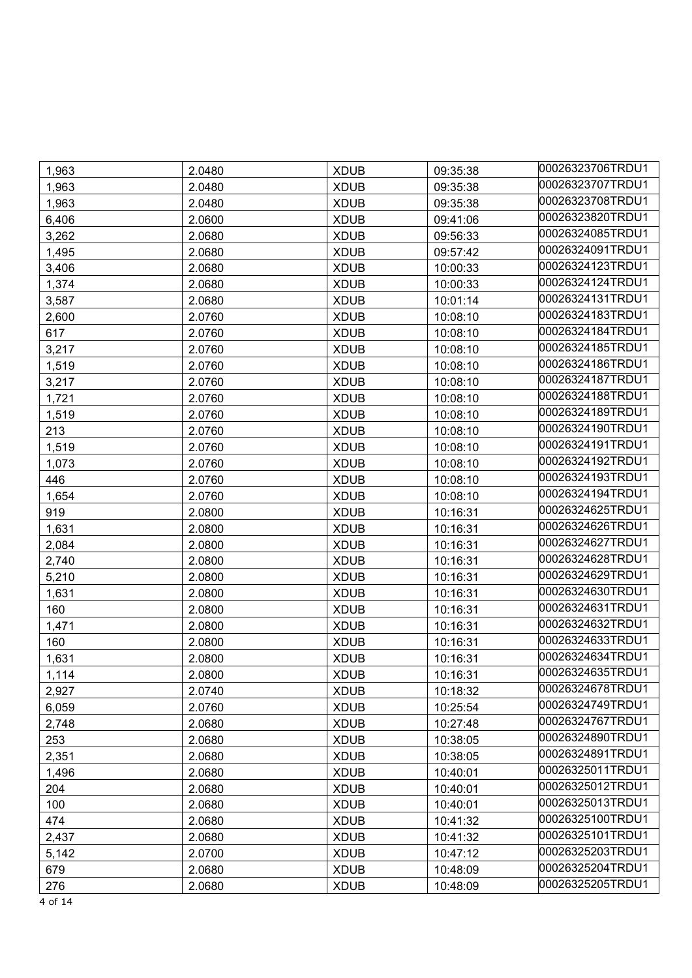| 1,963 | 2.0480 | <b>XDUB</b> | 09:35:38 | 00026323706TRDU1 |
|-------|--------|-------------|----------|------------------|
| 1,963 | 2.0480 | <b>XDUB</b> | 09:35:38 | 00026323707TRDU1 |
| 1,963 | 2.0480 | <b>XDUB</b> | 09:35:38 | 00026323708TRDU1 |
| 6,406 | 2.0600 | <b>XDUB</b> | 09:41:06 | 00026323820TRDU1 |
| 3,262 | 2.0680 | <b>XDUB</b> | 09:56:33 | 00026324085TRDU1 |
| 1,495 | 2.0680 | <b>XDUB</b> | 09:57:42 | 00026324091TRDU1 |
| 3,406 | 2.0680 | <b>XDUB</b> | 10:00:33 | 00026324123TRDU1 |
| 1,374 | 2.0680 | <b>XDUB</b> | 10:00:33 | 00026324124TRDU1 |
| 3,587 | 2.0680 | <b>XDUB</b> | 10:01:14 | 00026324131TRDU1 |
| 2,600 | 2.0760 | <b>XDUB</b> | 10:08:10 | 00026324183TRDU1 |
| 617   | 2.0760 | <b>XDUB</b> | 10:08:10 | 00026324184TRDU1 |
| 3,217 | 2.0760 | <b>XDUB</b> | 10:08:10 | 00026324185TRDU1 |
| 1,519 | 2.0760 | <b>XDUB</b> | 10:08:10 | 00026324186TRDU1 |
| 3,217 | 2.0760 | <b>XDUB</b> | 10:08:10 | 00026324187TRDU1 |
| 1,721 | 2.0760 | <b>XDUB</b> | 10:08:10 | 00026324188TRDU1 |
| 1,519 | 2.0760 | <b>XDUB</b> | 10:08:10 | 00026324189TRDU1 |
| 213   | 2.0760 | <b>XDUB</b> | 10:08:10 | 00026324190TRDU1 |
| 1,519 | 2.0760 | <b>XDUB</b> | 10:08:10 | 00026324191TRDU1 |
| 1,073 | 2.0760 | <b>XDUB</b> | 10:08:10 | 00026324192TRDU1 |
| 446   | 2.0760 | <b>XDUB</b> | 10:08:10 | 00026324193TRDU1 |
| 1,654 | 2.0760 | <b>XDUB</b> | 10:08:10 | 00026324194TRDU1 |
| 919   | 2.0800 | <b>XDUB</b> | 10:16:31 | 00026324625TRDU1 |
| 1,631 | 2.0800 | <b>XDUB</b> | 10:16:31 | 00026324626TRDU1 |
| 2,084 | 2.0800 | <b>XDUB</b> | 10:16:31 | 00026324627TRDU1 |
| 2,740 | 2.0800 | <b>XDUB</b> | 10:16:31 | 00026324628TRDU1 |
| 5,210 | 2.0800 | <b>XDUB</b> | 10:16:31 | 00026324629TRDU1 |
| 1,631 | 2.0800 | <b>XDUB</b> | 10:16:31 | 00026324630TRDU1 |
| 160   | 2.0800 | <b>XDUB</b> | 10:16:31 | 00026324631TRDU1 |
| 1,471 | 2.0800 | <b>XDUB</b> | 10:16:31 | 00026324632TRDU1 |
| 160   | 2.0800 | <b>XDUB</b> | 10:16:31 | 00026324633TRDU1 |
| 1,631 | 2.0800 | <b>XDUB</b> | 10:16:31 | 00026324634TRDU1 |
| 1,114 | 2.0800 | <b>XDUB</b> | 10:16:31 | 00026324635TRDU1 |
| 2,927 | 2.0740 | <b>XDUB</b> | 10:18:32 | 00026324678TRDU1 |
| 6,059 | 2.0760 | <b>XDUB</b> | 10:25:54 | 00026324749TRDU1 |
| 2,748 | 2.0680 | <b>XDUB</b> | 10:27:48 | 00026324767TRDU1 |
| 253   | 2.0680 | <b>XDUB</b> | 10:38:05 | 00026324890TRDU1 |
| 2,351 | 2.0680 | <b>XDUB</b> | 10:38:05 | 00026324891TRDU1 |
| 1,496 | 2.0680 | <b>XDUB</b> | 10:40:01 | 00026325011TRDU1 |
| 204   | 2.0680 | <b>XDUB</b> | 10:40:01 | 00026325012TRDU1 |
| 100   | 2.0680 | <b>XDUB</b> | 10:40:01 | 00026325013TRDU1 |
| 474   | 2.0680 | <b>XDUB</b> | 10:41:32 | 00026325100TRDU1 |
| 2,437 | 2.0680 | <b>XDUB</b> | 10:41:32 | 00026325101TRDU1 |
| 5,142 | 2.0700 | <b>XDUB</b> | 10:47:12 | 00026325203TRDU1 |
| 679   | 2.0680 | <b>XDUB</b> | 10:48:09 | 00026325204TRDU1 |
| 276   | 2.0680 | <b>XDUB</b> | 10:48:09 | 00026325205TRDU1 |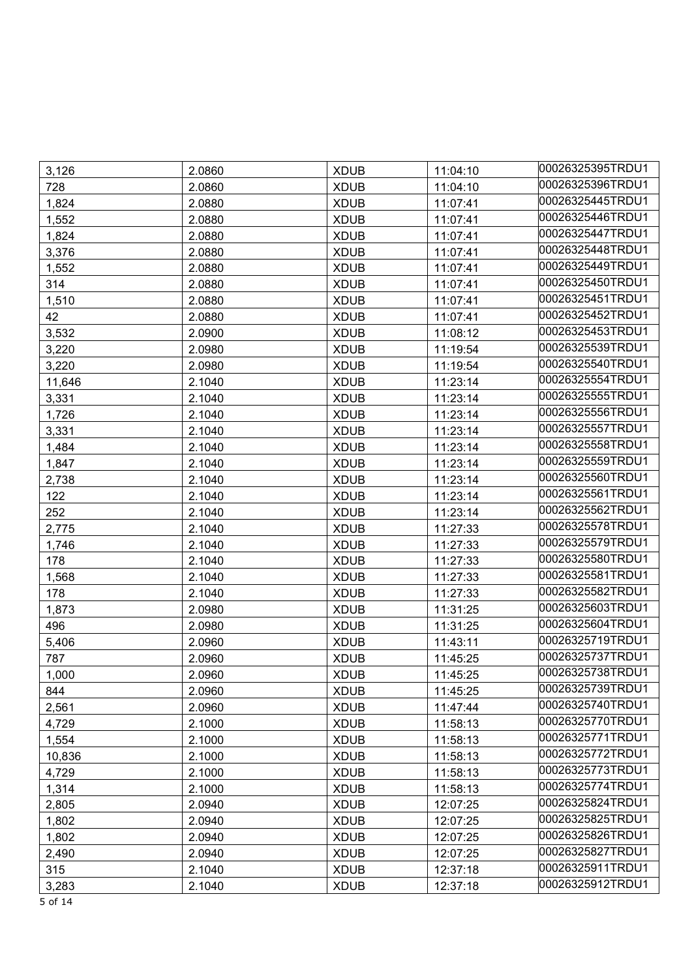| 3,126  | 2.0860 | <b>XDUB</b> | 11:04:10 | 00026325395TRDU1 |
|--------|--------|-------------|----------|------------------|
| 728    | 2.0860 | <b>XDUB</b> | 11:04:10 | 00026325396TRDU1 |
| 1,824  | 2.0880 | <b>XDUB</b> | 11:07:41 | 00026325445TRDU1 |
| 1,552  | 2.0880 | <b>XDUB</b> | 11:07:41 | 00026325446TRDU1 |
| 1,824  | 2.0880 | <b>XDUB</b> | 11:07:41 | 00026325447TRDU1 |
| 3,376  | 2.0880 | <b>XDUB</b> | 11:07:41 | 00026325448TRDU1 |
| 1,552  | 2.0880 | <b>XDUB</b> | 11:07:41 | 00026325449TRDU1 |
| 314    | 2.0880 | <b>XDUB</b> | 11:07:41 | 00026325450TRDU1 |
| 1,510  | 2.0880 | <b>XDUB</b> | 11:07:41 | 00026325451TRDU1 |
| 42     | 2.0880 | <b>XDUB</b> | 11:07:41 | 00026325452TRDU1 |
| 3,532  | 2.0900 | <b>XDUB</b> | 11:08:12 | 00026325453TRDU1 |
| 3,220  | 2.0980 | <b>XDUB</b> | 11:19:54 | 00026325539TRDU1 |
| 3,220  | 2.0980 | <b>XDUB</b> | 11:19:54 | 00026325540TRDU1 |
| 11,646 | 2.1040 | <b>XDUB</b> | 11:23:14 | 00026325554TRDU1 |
| 3,331  | 2.1040 | <b>XDUB</b> | 11:23:14 | 00026325555TRDU1 |
| 1,726  | 2.1040 | <b>XDUB</b> | 11:23:14 | 00026325556TRDU1 |
| 3,331  | 2.1040 | <b>XDUB</b> | 11:23:14 | 00026325557TRDU1 |
| 1,484  | 2.1040 | <b>XDUB</b> | 11:23:14 | 00026325558TRDU1 |
| 1,847  | 2.1040 | <b>XDUB</b> | 11:23:14 | 00026325559TRDU1 |
| 2,738  | 2.1040 | <b>XDUB</b> | 11:23:14 | 00026325560TRDU1 |
| 122    | 2.1040 | <b>XDUB</b> | 11:23:14 | 00026325561TRDU1 |
| 252    | 2.1040 | <b>XDUB</b> | 11:23:14 | 00026325562TRDU1 |
| 2,775  | 2.1040 | <b>XDUB</b> | 11:27:33 | 00026325578TRDU1 |
| 1,746  | 2.1040 | <b>XDUB</b> | 11:27:33 | 00026325579TRDU1 |
| 178    | 2.1040 | <b>XDUB</b> | 11:27:33 | 00026325580TRDU1 |
| 1,568  | 2.1040 | <b>XDUB</b> | 11:27:33 | 00026325581TRDU1 |
| 178    | 2.1040 | <b>XDUB</b> | 11:27:33 | 00026325582TRDU1 |
| 1,873  | 2.0980 | <b>XDUB</b> | 11:31:25 | 00026325603TRDU1 |
| 496    | 2.0980 | <b>XDUB</b> | 11:31:25 | 00026325604TRDU1 |
| 5,406  | 2.0960 | <b>XDUB</b> | 11:43:11 | 00026325719TRDU1 |
| 787    | 2.0960 | <b>XDUB</b> | 11:45:25 | 00026325737TRDU1 |
| 1,000  | 2.0960 | <b>XDUB</b> | 11:45:25 | 00026325738TRDU1 |
| 844    | 2.0960 | <b>XDUB</b> | 11:45:25 | 00026325739TRDU1 |
| 2,561  | 2.0960 | <b>XDUB</b> | 11:47:44 | 00026325740TRDU1 |
| 4,729  | 2.1000 | <b>XDUB</b> | 11:58:13 | 00026325770TRDU1 |
| 1,554  | 2.1000 | <b>XDUB</b> | 11:58:13 | 00026325771TRDU1 |
| 10,836 | 2.1000 | <b>XDUB</b> | 11:58:13 | 00026325772TRDU1 |
| 4,729  | 2.1000 | <b>XDUB</b> | 11:58:13 | 00026325773TRDU1 |
| 1,314  | 2.1000 | <b>XDUB</b> | 11:58:13 | 00026325774TRDU1 |
| 2,805  | 2.0940 | <b>XDUB</b> | 12:07:25 | 00026325824TRDU1 |
| 1,802  | 2.0940 | <b>XDUB</b> | 12:07:25 | 00026325825TRDU1 |
| 1,802  | 2.0940 | <b>XDUB</b> | 12:07:25 | 00026325826TRDU1 |
| 2,490  | 2.0940 | <b>XDUB</b> | 12:07:25 | 00026325827TRDU1 |
| 315    | 2.1040 | <b>XDUB</b> | 12:37:18 | 00026325911TRDU1 |
| 3,283  | 2.1040 | <b>XDUB</b> | 12:37:18 | 00026325912TRDU1 |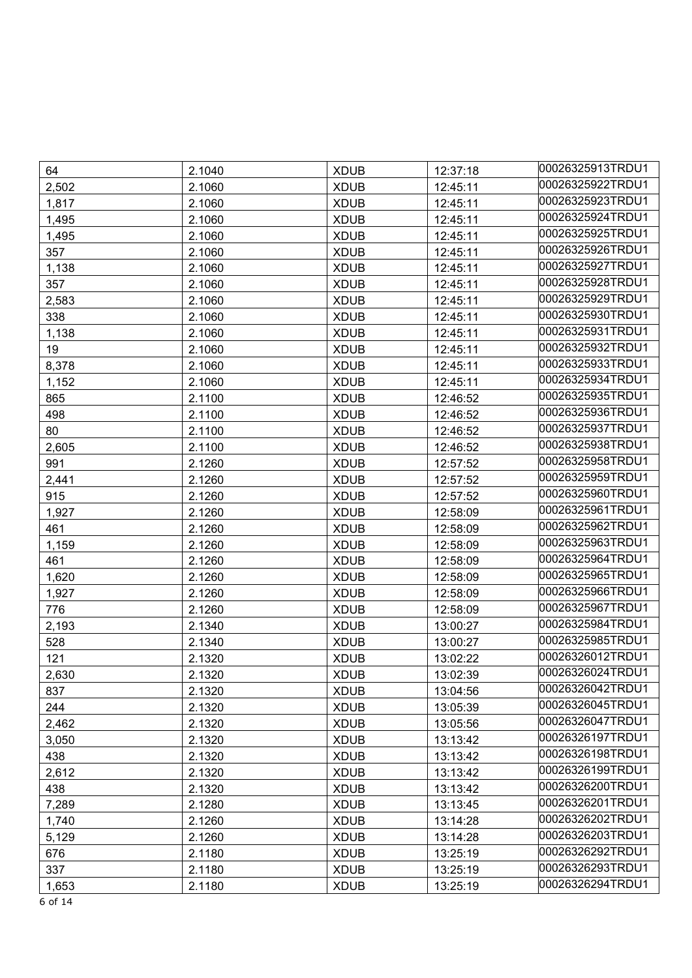| 64    | 2.1040 | <b>XDUB</b> | 12:37:18 | 00026325913TRDU1 |
|-------|--------|-------------|----------|------------------|
| 2,502 | 2.1060 | <b>XDUB</b> | 12:45:11 | 00026325922TRDU1 |
| 1,817 | 2.1060 | <b>XDUB</b> | 12:45:11 | 00026325923TRDU1 |
| 1,495 | 2.1060 | <b>XDUB</b> | 12:45:11 | 00026325924TRDU1 |
| 1,495 | 2.1060 | <b>XDUB</b> | 12:45:11 | 00026325925TRDU1 |
| 357   | 2.1060 | <b>XDUB</b> | 12:45:11 | 00026325926TRDU1 |
| 1,138 | 2.1060 | <b>XDUB</b> | 12:45:11 | 00026325927TRDU1 |
| 357   | 2.1060 | <b>XDUB</b> | 12:45:11 | 00026325928TRDU1 |
| 2,583 | 2.1060 | <b>XDUB</b> | 12:45:11 | 00026325929TRDU1 |
| 338   | 2.1060 | <b>XDUB</b> | 12:45:11 | 00026325930TRDU1 |
| 1,138 | 2.1060 | <b>XDUB</b> | 12:45:11 | 00026325931TRDU1 |
| 19    | 2.1060 | <b>XDUB</b> | 12:45:11 | 00026325932TRDU1 |
| 8,378 | 2.1060 | <b>XDUB</b> | 12:45:11 | 00026325933TRDU1 |
| 1,152 | 2.1060 | <b>XDUB</b> | 12:45:11 | 00026325934TRDU1 |
| 865   | 2.1100 | <b>XDUB</b> | 12:46:52 | 00026325935TRDU1 |
| 498   | 2.1100 | <b>XDUB</b> | 12:46:52 | 00026325936TRDU1 |
| 80    | 2.1100 | <b>XDUB</b> | 12:46:52 | 00026325937TRDU1 |
| 2,605 | 2.1100 | <b>XDUB</b> | 12:46:52 | 00026325938TRDU1 |
| 991   | 2.1260 | <b>XDUB</b> | 12:57:52 | 00026325958TRDU1 |
| 2,441 | 2.1260 | <b>XDUB</b> | 12:57:52 | 00026325959TRDU1 |
| 915   | 2.1260 | <b>XDUB</b> | 12:57:52 | 00026325960TRDU1 |
| 1,927 | 2.1260 | <b>XDUB</b> | 12:58:09 | 00026325961TRDU1 |
| 461   | 2.1260 | <b>XDUB</b> | 12:58:09 | 00026325962TRDU1 |
| 1,159 | 2.1260 | <b>XDUB</b> | 12:58:09 | 00026325963TRDU1 |
| 461   | 2.1260 | <b>XDUB</b> | 12:58:09 | 00026325964TRDU1 |
| 1,620 | 2.1260 | <b>XDUB</b> | 12:58:09 | 00026325965TRDU1 |
| 1,927 | 2.1260 | <b>XDUB</b> | 12:58:09 | 00026325966TRDU1 |
| 776   | 2.1260 | <b>XDUB</b> | 12:58:09 | 00026325967TRDU1 |
| 2,193 | 2.1340 | <b>XDUB</b> | 13:00:27 | 00026325984TRDU1 |
| 528   | 2.1340 | <b>XDUB</b> | 13:00:27 | 00026325985TRDU1 |
| 121   | 2.1320 | <b>XDUB</b> | 13:02:22 | 00026326012TRDU1 |
| 2,630 | 2.1320 | <b>XDUB</b> | 13:02:39 | 00026326024TRDU1 |
| 837   | 2.1320 | <b>XDUB</b> | 13:04:56 | 00026326042TRDU1 |
| 244   | 2.1320 | <b>XDUB</b> | 13:05:39 | 00026326045TRDU1 |
| 2,462 | 2.1320 | <b>XDUB</b> | 13:05:56 | 00026326047TRDU1 |
| 3,050 | 2.1320 | <b>XDUB</b> | 13:13:42 | 00026326197TRDU1 |
| 438   | 2.1320 | <b>XDUB</b> | 13:13:42 | 00026326198TRDU1 |
| 2,612 | 2.1320 | <b>XDUB</b> | 13:13:42 | 00026326199TRDU1 |
| 438   | 2.1320 | <b>XDUB</b> | 13:13:42 | 00026326200TRDU1 |
| 7,289 | 2.1280 | <b>XDUB</b> | 13:13:45 | 00026326201TRDU1 |
| 1,740 | 2.1260 | <b>XDUB</b> | 13:14:28 | 00026326202TRDU1 |
| 5,129 | 2.1260 | <b>XDUB</b> | 13:14:28 | 00026326203TRDU1 |
| 676   | 2.1180 | <b>XDUB</b> | 13:25:19 | 00026326292TRDU1 |
| 337   | 2.1180 | <b>XDUB</b> | 13:25:19 | 00026326293TRDU1 |
| 1,653 | 2.1180 | <b>XDUB</b> | 13:25:19 | 00026326294TRDU1 |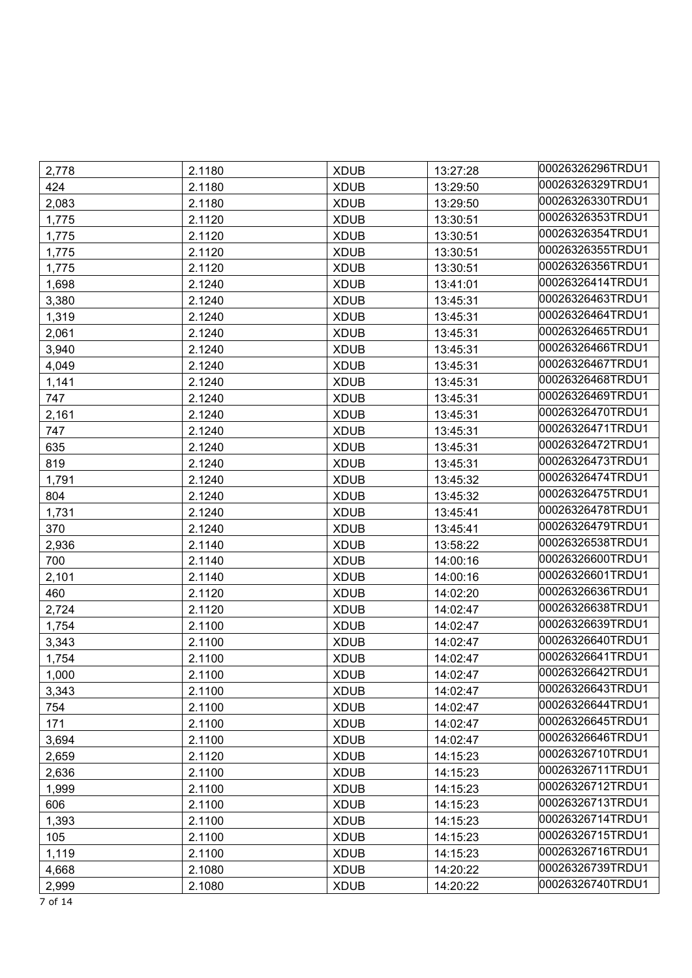| 2,778 | 2.1180 | <b>XDUB</b> | 13:27:28 | 00026326296TRDU1 |
|-------|--------|-------------|----------|------------------|
| 424   | 2.1180 | <b>XDUB</b> | 13:29:50 | 00026326329TRDU1 |
| 2,083 | 2.1180 | <b>XDUB</b> | 13:29:50 | 00026326330TRDU1 |
| 1,775 | 2.1120 | <b>XDUB</b> | 13:30:51 | 00026326353TRDU1 |
| 1,775 | 2.1120 | <b>XDUB</b> | 13:30:51 | 00026326354TRDU1 |
| 1,775 | 2.1120 | <b>XDUB</b> | 13:30:51 | 00026326355TRDU1 |
| 1,775 | 2.1120 | <b>XDUB</b> | 13:30:51 | 00026326356TRDU1 |
| 1,698 | 2.1240 | <b>XDUB</b> | 13:41:01 | 00026326414TRDU1 |
| 3,380 | 2.1240 | <b>XDUB</b> | 13:45:31 | 00026326463TRDU1 |
| 1,319 | 2.1240 | <b>XDUB</b> | 13:45:31 | 00026326464TRDU1 |
| 2,061 | 2.1240 | <b>XDUB</b> | 13:45:31 | 00026326465TRDU1 |
| 3,940 | 2.1240 | <b>XDUB</b> | 13:45:31 | 00026326466TRDU1 |
| 4,049 | 2.1240 | <b>XDUB</b> | 13:45:31 | 00026326467TRDU1 |
| 1,141 | 2.1240 | <b>XDUB</b> | 13:45:31 | 00026326468TRDU1 |
| 747   | 2.1240 | <b>XDUB</b> | 13:45:31 | 00026326469TRDU1 |
| 2,161 | 2.1240 | <b>XDUB</b> | 13:45:31 | 00026326470TRDU1 |
| 747   | 2.1240 | <b>XDUB</b> | 13:45:31 | 00026326471TRDU1 |
| 635   | 2.1240 | <b>XDUB</b> | 13:45:31 | 00026326472TRDU1 |
| 819   | 2.1240 | <b>XDUB</b> | 13:45:31 | 00026326473TRDU1 |
| 1,791 | 2.1240 | <b>XDUB</b> | 13:45:32 | 00026326474TRDU1 |
| 804   | 2.1240 | <b>XDUB</b> | 13:45:32 | 00026326475TRDU1 |
| 1,731 | 2.1240 | <b>XDUB</b> | 13:45:41 | 00026326478TRDU1 |
| 370   | 2.1240 | <b>XDUB</b> | 13:45:41 | 00026326479TRDU1 |
| 2,936 | 2.1140 | <b>XDUB</b> | 13:58:22 | 00026326538TRDU1 |
| 700   | 2.1140 | <b>XDUB</b> | 14:00:16 | 00026326600TRDU1 |
| 2,101 | 2.1140 | <b>XDUB</b> | 14:00:16 | 00026326601TRDU1 |
| 460   | 2.1120 | <b>XDUB</b> | 14:02:20 | 00026326636TRDU1 |
| 2,724 | 2.1120 | <b>XDUB</b> | 14:02:47 | 00026326638TRDU1 |
| 1,754 | 2.1100 | <b>XDUB</b> | 14:02:47 | 00026326639TRDU1 |
| 3,343 | 2.1100 | <b>XDUB</b> | 14:02:47 | 00026326640TRDU1 |
| 1,754 | 2.1100 | <b>XDUB</b> | 14:02:47 | 00026326641TRDU1 |
| 1,000 | 2.1100 | <b>XDUB</b> | 14:02:47 | 00026326642TRDU1 |
| 3,343 | 2.1100 | <b>XDUB</b> | 14:02:47 | 00026326643TRDU1 |
| 754   | 2.1100 | <b>XDUB</b> | 14:02:47 | 00026326644TRDU1 |
| 171   | 2.1100 | <b>XDUB</b> | 14:02:47 | 00026326645TRDU1 |
| 3,694 | 2.1100 | <b>XDUB</b> | 14:02:47 | 00026326646TRDU1 |
| 2,659 | 2.1120 | <b>XDUB</b> | 14:15:23 | 00026326710TRDU1 |
| 2,636 | 2.1100 | <b>XDUB</b> | 14:15:23 | 00026326711TRDU1 |
| 1,999 | 2.1100 | <b>XDUB</b> | 14:15:23 | 00026326712TRDU1 |
| 606   | 2.1100 | <b>XDUB</b> | 14:15:23 | 00026326713TRDU1 |
| 1,393 | 2.1100 | <b>XDUB</b> | 14:15:23 | 00026326714TRDU1 |
| 105   | 2.1100 | <b>XDUB</b> | 14:15:23 | 00026326715TRDU1 |
| 1,119 | 2.1100 | <b>XDUB</b> | 14:15:23 | 00026326716TRDU1 |
| 4,668 | 2.1080 | <b>XDUB</b> | 14:20:22 | 00026326739TRDU1 |
| 2,999 | 2.1080 | <b>XDUB</b> | 14:20:22 | 00026326740TRDU1 |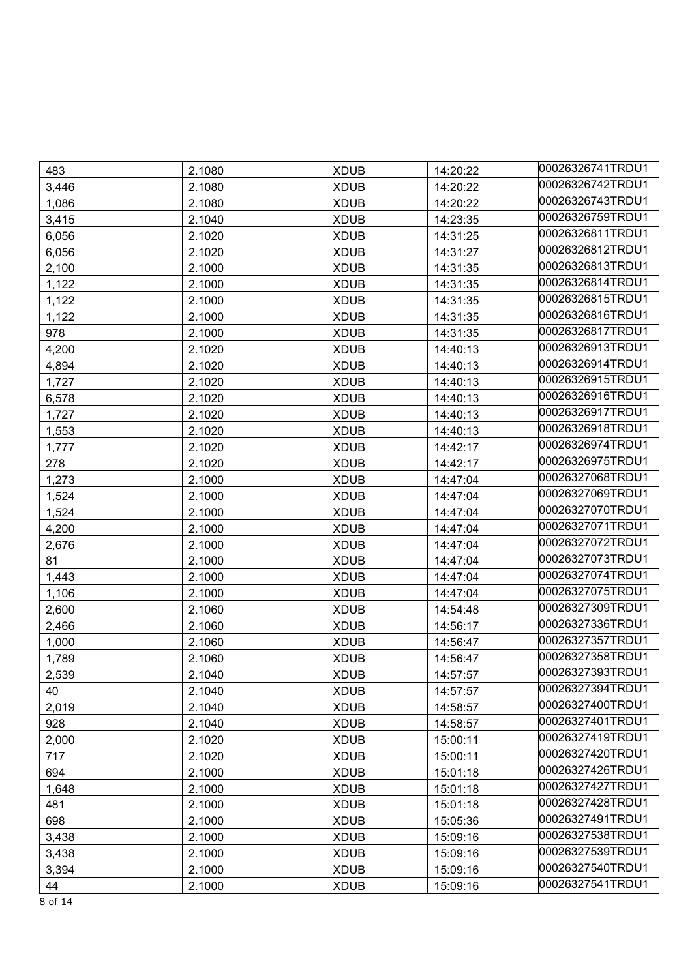| 483   | 2.1080 | <b>XDUB</b> | 14:20:22 | 00026326741TRDU1 |
|-------|--------|-------------|----------|------------------|
| 3,446 | 2.1080 | <b>XDUB</b> | 14:20:22 | 00026326742TRDU1 |
| 1,086 | 2.1080 | <b>XDUB</b> | 14:20:22 | 00026326743TRDU1 |
| 3,415 | 2.1040 | <b>XDUB</b> | 14:23:35 | 00026326759TRDU1 |
| 6,056 | 2.1020 | <b>XDUB</b> | 14:31:25 | 00026326811TRDU1 |
| 6,056 | 2.1020 | <b>XDUB</b> | 14:31:27 | 00026326812TRDU1 |
| 2,100 | 2.1000 | <b>XDUB</b> | 14:31:35 | 00026326813TRDU1 |
| 1,122 | 2.1000 | <b>XDUB</b> | 14:31:35 | 00026326814TRDU1 |
| 1,122 | 2.1000 | <b>XDUB</b> | 14:31:35 | 00026326815TRDU1 |
| 1,122 | 2.1000 | <b>XDUB</b> | 14:31:35 | 00026326816TRDU1 |
| 978   | 2.1000 | <b>XDUB</b> | 14:31:35 | 00026326817TRDU1 |
| 4,200 | 2.1020 | <b>XDUB</b> | 14:40:13 | 00026326913TRDU1 |
| 4,894 | 2.1020 | <b>XDUB</b> | 14:40:13 | 00026326914TRDU1 |
| 1,727 | 2.1020 | <b>XDUB</b> | 14:40:13 | 00026326915TRDU1 |
| 6,578 | 2.1020 | <b>XDUB</b> | 14:40:13 | 00026326916TRDU1 |
| 1,727 | 2.1020 | <b>XDUB</b> | 14:40:13 | 00026326917TRDU1 |
| 1,553 | 2.1020 | <b>XDUB</b> | 14:40:13 | 00026326918TRDU1 |
| 1,777 | 2.1020 | <b>XDUB</b> | 14:42:17 | 00026326974TRDU1 |
| 278   | 2.1020 | <b>XDUB</b> | 14:42:17 | 00026326975TRDU1 |
| 1,273 | 2.1000 | <b>XDUB</b> | 14:47:04 | 00026327068TRDU1 |
| 1,524 | 2.1000 | <b>XDUB</b> | 14:47:04 | 00026327069TRDU1 |
| 1,524 | 2.1000 | <b>XDUB</b> | 14:47:04 | 00026327070TRDU1 |
| 4,200 | 2.1000 | <b>XDUB</b> | 14:47:04 | 00026327071TRDU1 |
| 2,676 | 2.1000 | <b>XDUB</b> | 14:47:04 | 00026327072TRDU1 |
| 81    | 2.1000 | <b>XDUB</b> | 14:47:04 | 00026327073TRDU1 |
| 1,443 | 2.1000 | <b>XDUB</b> | 14:47:04 | 00026327074TRDU1 |
| 1,106 | 2.1000 | <b>XDUB</b> | 14:47:04 | 00026327075TRDU1 |
| 2,600 | 2.1060 | <b>XDUB</b> | 14:54:48 | 00026327309TRDU1 |
| 2,466 | 2.1060 | <b>XDUB</b> | 14:56:17 | 00026327336TRDU1 |
| 1,000 | 2.1060 | <b>XDUB</b> | 14:56:47 | 00026327357TRDU1 |
| 1,789 | 2.1060 | <b>XDUB</b> | 14:56:47 | 00026327358TRDU1 |
| 2,539 | 2.1040 | <b>XDUB</b> | 14:57:57 | 00026327393TRDU1 |
| 40    | 2.1040 | <b>XDUB</b> | 14:57:57 | 00026327394TRDU1 |
| 2,019 | 2.1040 | <b>XDUB</b> | 14:58:57 | 00026327400TRDU1 |
| 928   | 2.1040 | <b>XDUB</b> | 14:58:57 | 00026327401TRDU1 |
| 2,000 | 2.1020 | <b>XDUB</b> | 15:00:11 | 00026327419TRDU1 |
| 717   | 2.1020 | <b>XDUB</b> | 15:00:11 | 00026327420TRDU1 |
| 694   | 2.1000 | <b>XDUB</b> | 15:01:18 | 00026327426TRDU1 |
| 1,648 | 2.1000 | <b>XDUB</b> | 15:01:18 | 00026327427TRDU1 |
| 481   | 2.1000 | <b>XDUB</b> | 15:01:18 | 00026327428TRDU1 |
| 698   | 2.1000 | <b>XDUB</b> | 15:05:36 | 00026327491TRDU1 |
| 3,438 | 2.1000 | <b>XDUB</b> | 15:09:16 | 00026327538TRDU1 |
| 3,438 | 2.1000 | <b>XDUB</b> | 15:09:16 | 00026327539TRDU1 |
| 3,394 | 2.1000 | <b>XDUB</b> | 15:09:16 | 00026327540TRDU1 |
| 44    | 2.1000 | <b>XDUB</b> | 15:09:16 | 00026327541TRDU1 |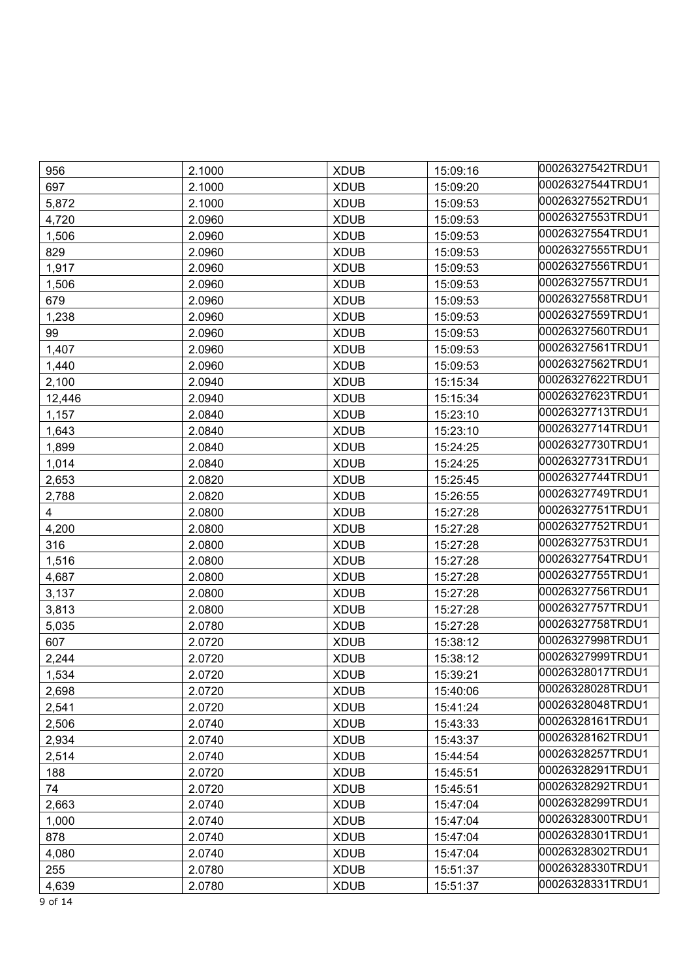| 956                     | 2.1000 | <b>XDUB</b> | 15:09:16 | 00026327542TRDU1 |
|-------------------------|--------|-------------|----------|------------------|
| 697                     | 2.1000 | <b>XDUB</b> | 15:09:20 | 00026327544TRDU1 |
| 5,872                   | 2.1000 | <b>XDUB</b> | 15:09:53 | 00026327552TRDU1 |
| 4,720                   | 2.0960 | <b>XDUB</b> | 15:09:53 | 00026327553TRDU1 |
| 1,506                   | 2.0960 | <b>XDUB</b> | 15:09:53 | 00026327554TRDU1 |
| 829                     | 2.0960 | <b>XDUB</b> | 15:09:53 | 00026327555TRDU1 |
| 1,917                   | 2.0960 | <b>XDUB</b> | 15:09:53 | 00026327556TRDU1 |
| 1,506                   | 2.0960 | <b>XDUB</b> | 15:09:53 | 00026327557TRDU1 |
| 679                     | 2.0960 | <b>XDUB</b> | 15:09:53 | 00026327558TRDU1 |
| 1,238                   | 2.0960 | <b>XDUB</b> | 15:09:53 | 00026327559TRDU1 |
| 99                      | 2.0960 | <b>XDUB</b> | 15:09:53 | 00026327560TRDU1 |
| 1,407                   | 2.0960 | <b>XDUB</b> | 15:09:53 | 00026327561TRDU1 |
| 1,440                   | 2.0960 | <b>XDUB</b> | 15:09:53 | 00026327562TRDU1 |
| 2,100                   | 2.0940 | <b>XDUB</b> | 15:15:34 | 00026327622TRDU1 |
| 12,446                  | 2.0940 | <b>XDUB</b> | 15:15:34 | 00026327623TRDU1 |
| 1,157                   | 2.0840 | <b>XDUB</b> | 15:23:10 | 00026327713TRDU1 |
| 1,643                   | 2.0840 | <b>XDUB</b> | 15:23:10 | 00026327714TRDU1 |
| 1,899                   | 2.0840 | <b>XDUB</b> | 15:24:25 | 00026327730TRDU1 |
| 1,014                   | 2.0840 | <b>XDUB</b> | 15:24:25 | 00026327731TRDU1 |
| 2,653                   | 2.0820 | <b>XDUB</b> | 15:25:45 | 00026327744TRDU1 |
| 2,788                   | 2.0820 | <b>XDUB</b> | 15:26:55 | 00026327749TRDU1 |
| $\overline{\mathbf{4}}$ | 2.0800 | <b>XDUB</b> | 15:27:28 | 00026327751TRDU1 |
| 4,200                   | 2.0800 | <b>XDUB</b> | 15:27:28 | 00026327752TRDU1 |
| 316                     | 2.0800 | <b>XDUB</b> | 15:27:28 | 00026327753TRDU1 |
| 1,516                   | 2.0800 | <b>XDUB</b> | 15:27:28 | 00026327754TRDU1 |
| 4,687                   | 2.0800 | <b>XDUB</b> | 15:27:28 | 00026327755TRDU1 |
| 3,137                   | 2.0800 | <b>XDUB</b> | 15:27:28 | 00026327756TRDU1 |
| 3,813                   | 2.0800 | <b>XDUB</b> | 15:27:28 | 00026327757TRDU1 |
| 5,035                   | 2.0780 | <b>XDUB</b> | 15:27:28 | 00026327758TRDU1 |
| 607                     | 2.0720 | <b>XDUB</b> | 15:38:12 | 00026327998TRDU1 |
| 2,244                   | 2.0720 | <b>XDUB</b> | 15:38:12 | 00026327999TRDU1 |
| 1,534                   | 2.0720 | <b>XDUB</b> | 15:39:21 | 00026328017TRDU1 |
| 2,698                   | 2.0720 | <b>XDUB</b> | 15:40:06 | 00026328028TRDU1 |
| 2,541                   | 2.0720 | <b>XDUB</b> | 15:41:24 | 00026328048TRDU1 |
| 2,506                   | 2.0740 | <b>XDUB</b> | 15:43:33 | 00026328161TRDU1 |
| 2,934                   | 2.0740 | <b>XDUB</b> | 15:43:37 | 00026328162TRDU1 |
| 2,514                   | 2.0740 | <b>XDUB</b> | 15:44:54 | 00026328257TRDU1 |
| 188                     | 2.0720 | <b>XDUB</b> | 15:45:51 | 00026328291TRDU1 |
| 74                      | 2.0720 | <b>XDUB</b> | 15:45:51 | 00026328292TRDU1 |
| 2,663                   | 2.0740 | <b>XDUB</b> | 15:47:04 | 00026328299TRDU1 |
| 1,000                   | 2.0740 | <b>XDUB</b> | 15:47:04 | 00026328300TRDU1 |
| 878                     | 2.0740 | <b>XDUB</b> | 15:47:04 | 00026328301TRDU1 |
| 4,080                   | 2.0740 | <b>XDUB</b> | 15:47:04 | 00026328302TRDU1 |
| 255                     | 2.0780 | <b>XDUB</b> | 15:51:37 | 00026328330TRDU1 |
| 4,639                   | 2.0780 | <b>XDUB</b> | 15:51:37 | 00026328331TRDU1 |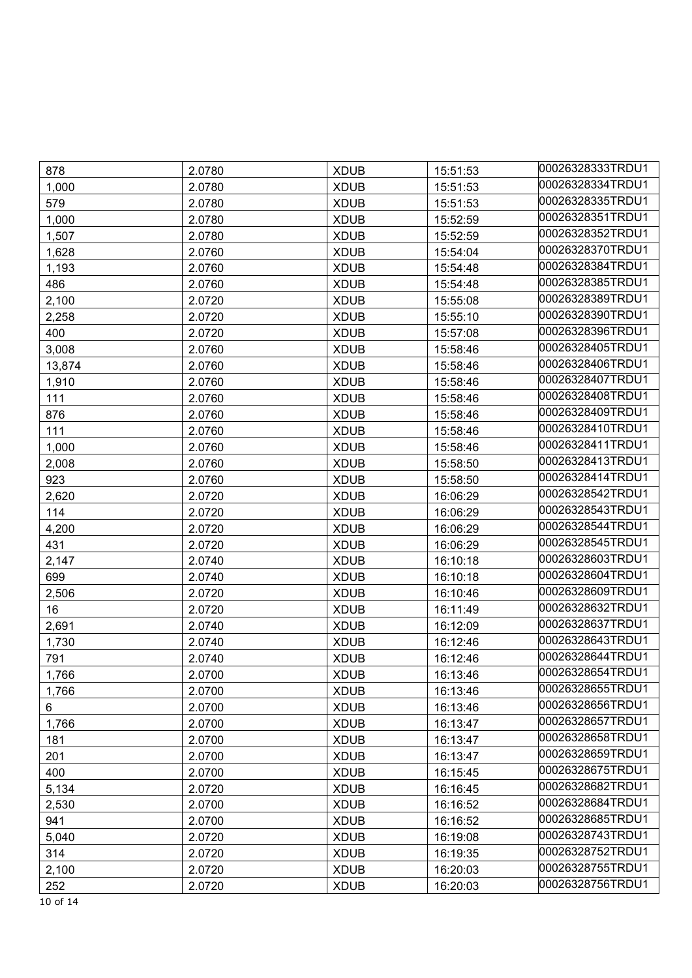| 878    | 2.0780 | <b>XDUB</b> | 15:51:53 | 00026328333TRDU1 |
|--------|--------|-------------|----------|------------------|
| 1,000  | 2.0780 | <b>XDUB</b> | 15:51:53 | 00026328334TRDU1 |
| 579    | 2.0780 | <b>XDUB</b> | 15:51:53 | 00026328335TRDU1 |
| 1,000  | 2.0780 | <b>XDUB</b> | 15:52:59 | 00026328351TRDU1 |
| 1,507  | 2.0780 | <b>XDUB</b> | 15:52:59 | 00026328352TRDU1 |
| 1,628  | 2.0760 | <b>XDUB</b> | 15:54:04 | 00026328370TRDU1 |
| 1,193  | 2.0760 | <b>XDUB</b> | 15:54:48 | 00026328384TRDU1 |
| 486    | 2.0760 | <b>XDUB</b> | 15:54:48 | 00026328385TRDU1 |
| 2,100  | 2.0720 | <b>XDUB</b> | 15:55:08 | 00026328389TRDU1 |
| 2,258  | 2.0720 | <b>XDUB</b> | 15:55:10 | 00026328390TRDU1 |
| 400    | 2.0720 | <b>XDUB</b> | 15:57:08 | 00026328396TRDU1 |
| 3,008  | 2.0760 | <b>XDUB</b> | 15:58:46 | 00026328405TRDU1 |
| 13,874 | 2.0760 | <b>XDUB</b> | 15:58:46 | 00026328406TRDU1 |
| 1,910  | 2.0760 | <b>XDUB</b> | 15:58:46 | 00026328407TRDU1 |
| 111    | 2.0760 | <b>XDUB</b> | 15:58:46 | 00026328408TRDU1 |
| 876    | 2.0760 | <b>XDUB</b> | 15:58:46 | 00026328409TRDU1 |
| 111    | 2.0760 | <b>XDUB</b> | 15:58:46 | 00026328410TRDU1 |
| 1,000  | 2.0760 | <b>XDUB</b> | 15:58:46 | 00026328411TRDU1 |
| 2,008  | 2.0760 | <b>XDUB</b> | 15:58:50 | 00026328413TRDU1 |
| 923    | 2.0760 | <b>XDUB</b> | 15:58:50 | 00026328414TRDU1 |
| 2,620  | 2.0720 | <b>XDUB</b> | 16:06:29 | 00026328542TRDU1 |
| 114    | 2.0720 | <b>XDUB</b> | 16:06:29 | 00026328543TRDU1 |
| 4,200  | 2.0720 | <b>XDUB</b> | 16:06:29 | 00026328544TRDU1 |
| 431    | 2.0720 | <b>XDUB</b> | 16:06:29 | 00026328545TRDU1 |
| 2,147  | 2.0740 | <b>XDUB</b> | 16:10:18 | 00026328603TRDU1 |
| 699    | 2.0740 | <b>XDUB</b> | 16:10:18 | 00026328604TRDU1 |
| 2,506  | 2.0720 | <b>XDUB</b> | 16:10:46 | 00026328609TRDU1 |
| 16     | 2.0720 | <b>XDUB</b> | 16:11:49 | 00026328632TRDU1 |
| 2,691  | 2.0740 | <b>XDUB</b> | 16:12:09 | 00026328637TRDU1 |
| 1,730  | 2.0740 | <b>XDUB</b> | 16:12:46 | 00026328643TRDU1 |
| 791    | 2.0740 | <b>XDUB</b> | 16:12:46 | 00026328644TRDU1 |
| 1,766  | 2.0700 | <b>XDUB</b> | 16:13:46 | 00026328654TRDU1 |
| 1,766  | 2.0700 | <b>XDUB</b> | 16:13:46 | 00026328655TRDU1 |
| 6      | 2.0700 | <b>XDUB</b> | 16:13:46 | 00026328656TRDU1 |
| 1,766  | 2.0700 | <b>XDUB</b> | 16:13:47 | 00026328657TRDU1 |
| 181    | 2.0700 | <b>XDUB</b> | 16:13:47 | 00026328658TRDU1 |
| 201    | 2.0700 | <b>XDUB</b> | 16:13:47 | 00026328659TRDU1 |
| 400    | 2.0700 | <b>XDUB</b> | 16:15:45 | 00026328675TRDU1 |
| 5,134  | 2.0720 | <b>XDUB</b> | 16:16:45 | 00026328682TRDU1 |
| 2,530  | 2.0700 | <b>XDUB</b> | 16:16:52 | 00026328684TRDU1 |
| 941    | 2.0700 | <b>XDUB</b> | 16:16:52 | 00026328685TRDU1 |
| 5,040  | 2.0720 | <b>XDUB</b> | 16:19:08 | 00026328743TRDU1 |
| 314    | 2.0720 | <b>XDUB</b> | 16:19:35 | 00026328752TRDU1 |
| 2,100  | 2.0720 | <b>XDUB</b> | 16:20:03 | 00026328755TRDU1 |
| 252    | 2.0720 | <b>XDUB</b> | 16:20:03 | 00026328756TRDU1 |